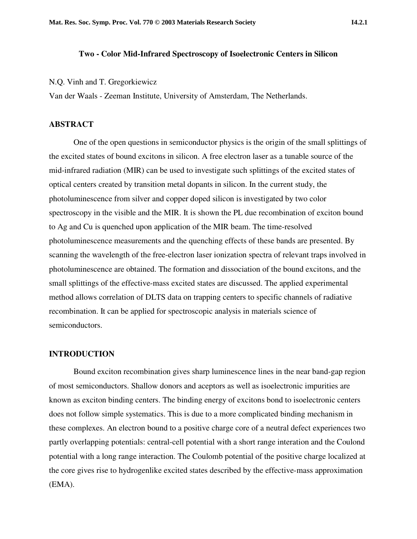## **Two - Color Mid-Infrared Spectroscopy of Isoelectronic Centers in Silicon**

N.Q. Vinh and T. Gregorkiewicz

Van der Waals - Zeeman Institute, University of Amsterdam, The Netherlands.

## **ABSTRACT**

One of the open questions in semiconductor physics is the origin of the small splittings of the excited states of bound excitons in silicon. A free electron laser as a tunable source of the mid-infrared radiation (MIR) can be used to investigate such splittings of the excited states of optical centers created by transition metal dopants in silicon. In the current study, the photoluminescence from silver and copper doped silicon is investigated by two color spectroscopy in the visible and the MIR. It is shown the PL due recombination of exciton bound to Ag and Cu is quenched upon application of the MIR beam. The time-resolved photoluminescence measurements and the quenching effects of these bands are presented. By scanning the wavelength of the free-electron laser ionization spectra of relevant traps involved in photoluminescence are obtained. The formation and dissociation of the bound excitons, and the small splittings of the effective-mass excited states are discussed. The applied experimental method allows correlation of DLTS data on trapping centers to specific channels of radiative recombination. It can be applied for spectroscopic analysis in materials science of semiconductors.

## **INTRODUCTION**

Bound exciton recombination gives sharp luminescence lines in the near band-gap region of most semiconductors. Shallow donors and aceptors as well as isoelectronic impurities are known as exciton binding centers. The binding energy of excitons bond to isoelectronic centers does not follow simple systematics. This is due to a more complicated binding mechanism in these complexes. An electron bound to a positive charge core of a neutral defect experiences two partly overlapping potentials: central-cell potential with a short range interation and the Coulond potential with a long range interaction. The Coulomb potential of the positive charge localized at the core gives rise to hydrogenlike excited states described by the effective-mass approximation (EMA).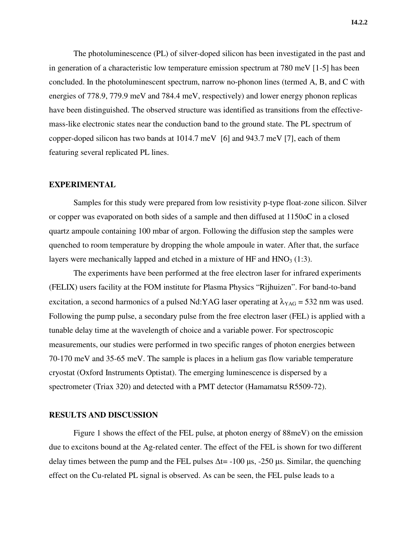The photoluminescence (PL) of silver-doped silicon has been investigated in the past and in generation of a characteristic low temperature emission spectrum at 780 meV [1-5] has been concluded. In the photoluminescent spectrum, narrow no-phonon lines (termed A, B, and C with energies of 778.9, 779.9 meV and 784.4 meV, respectively) and lower energy phonon replicas have been distinguished. The observed structure was identified as transitions from the effectivemass-like electronic states near the conduction band to the ground state. The PL spectrum of copper-doped silicon has two bands at 1014.7 meV [6] and 943.7 meV [7], each of them featuring several replicated PL lines.

#### **EXPERIMENTAL**

Samples for this study were prepared from low resistivity p-type float-zone silicon. Silver or copper was evaporated on both sides of a sample and then diffused at 1150oC in a closed quartz ampoule containing 100 mbar of argon. Following the diffusion step the samples were quenched to room temperature by dropping the whole ampoule in water. After that, the surface layers were mechanically lapped and etched in a mixture of HF and  $HNO<sub>3</sub> (1:3)$ .

The experiments have been performed at the free electron laser for infrared experiments (FELIX) users facility at the FOM institute for Plasma Physics "Rijhuizen". For band-to-band excitation, a second harmonics of a pulsed Nd:YAG laser operating at  $\lambda_{YAG}$  = 532 nm was used. Following the pump pulse, a secondary pulse from the free electron laser (FEL) is applied with a tunable delay time at the wavelength of choice and a variable power. For spectroscopic measurements, our studies were performed in two specific ranges of photon energies between 70-170 meV and 35-65 meV. The sample is places in a helium gas flow variable temperature cryostat (Oxford Instruments Optistat). The emerging luminescence is dispersed by a spectrometer (Triax 320) and detected with a PMT detector (Hamamatsu R5509-72).

#### **RESULTS AND DISCUSSION**

Figure 1 shows the effect of the FEL pulse, at photon energy of 88meV) on the emission due to excitons bound at the Ag-related center. The effect of the FEL is shown for two different delay times between the pump and the FEL pulses  $\Delta t$  = -100 µs, -250 µs. Similar, the quenching effect on the Cu-related PL signal is observed. As can be seen, the FEL pulse leads to a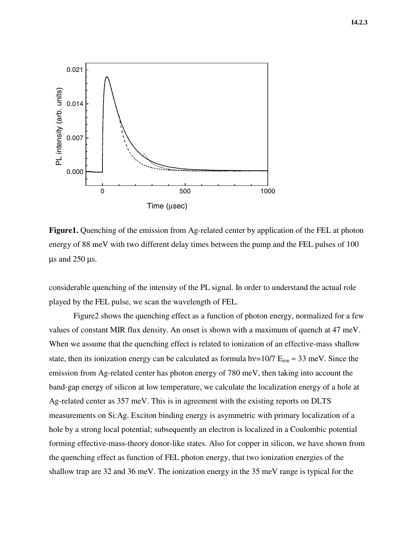

**Figure1.** Quenching of the emission from Ag-related center by application of the FEL at photon energy of 88 meV with two different delay times between the pump and the FEL pulses of 100  $\mu$ s and 250  $\mu$ s.

considerable quenching of the intensity of the PL signal. In order to understand the actual role played by the FEL pulse, we scan the wavelength of FEL.

Figure2 shows the quenching effect as a function of photon energy, normalized for a few values of constant MIR flux density. An onset is shown with a maximum of quench at 47 meV. When we assume that the quenching effect is related to ionization of an effective-mass shallow state, then its ionization energy can be calculated as formula hv=10/7  $E_{ion} \approx 33$  meV. Since the emission from Ag-related center has photon energy of 780 meV, then taking into account the band-gap energy of silicon at low temperature, we calculate the localization energy of a hole at Ag-related center as 357 meV. This is in agreement with the existing reports on DLTS measurements on Si:Ag. Exciton binding energy is asymmetric with primary localization of a hole by a strong local potential; subsequently an electron is localized in a Coulombic potential forming effective-mass-theory donor-like states. Also for copper in silicon, we have shown from the quenching effect as function of FEL photon energy, that two ionization energies of the shallow trap are 32 and 36 meV. The ionization energy in the 35 meV range is typical for the